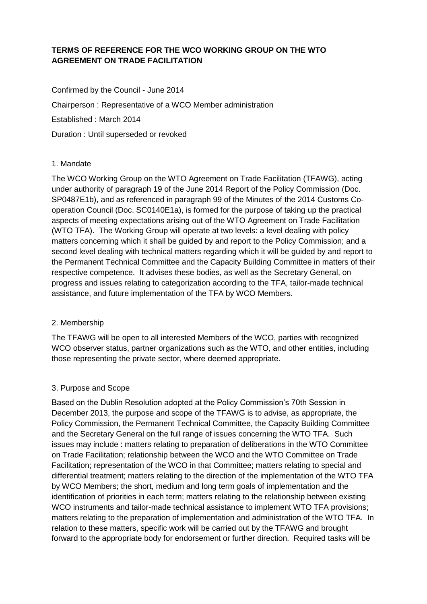# **TERMS OF REFERENCE FOR THE WCO WORKING GROUP ON THE WTO AGREEMENT ON TRADE FACILITATION**

Confirmed by the Council - June 2014 Chairperson : Representative of a WCO Member administration Established : March 2014 Duration : Until superseded or revoked

### 1. Mandate

The WCO Working Group on the WTO Agreement on Trade Facilitation (TFAWG), acting under authority of paragraph 19 of the June 2014 Report of the Policy Commission (Doc. SP0487E1b), and as referenced in paragraph 99 of the Minutes of the 2014 Customs Cooperation Council (Doc. SC0140E1a), is formed for the purpose of taking up the practical aspects of meeting expectations arising out of the WTO Agreement on Trade Facilitation (WTO TFA). The Working Group will operate at two levels: a level dealing with policy matters concerning which it shall be guided by and report to the Policy Commission; and a second level dealing with technical matters regarding which it will be guided by and report to the Permanent Technical Committee and the Capacity Building Committee in matters of their respective competence. It advises these bodies, as well as the Secretary General, on progress and issues relating to categorization according to the TFA, tailor-made technical assistance, and future implementation of the TFA by WCO Members.

### 2. Membership

The TFAWG will be open to all interested Members of the WCO, parties with recognized WCO observer status, partner organizations such as the WTO, and other entities, including those representing the private sector, where deemed appropriate.

### 3. Purpose and Scope

Based on the Dublin Resolution adopted at the Policy Commission's 70th Session in December 2013, the purpose and scope of the TFAWG is to advise, as appropriate, the Policy Commission, the Permanent Technical Committee, the Capacity Building Committee and the Secretary General on the full range of issues concerning the WTO TFA. Such issues may include : matters relating to preparation of deliberations in the WTO Committee on Trade Facilitation; relationship between the WCO and the WTO Committee on Trade Facilitation; representation of the WCO in that Committee; matters relating to special and differential treatment; matters relating to the direction of the implementation of the WTO TFA by WCO Members; the short, medium and long term goals of implementation and the identification of priorities in each term; matters relating to the relationship between existing WCO instruments and tailor-made technical assistance to implement WTO TFA provisions; matters relating to the preparation of implementation and administration of the WTO TFA. In relation to these matters, specific work will be carried out by the TFAWG and brought forward to the appropriate body for endorsement or further direction. Required tasks will be